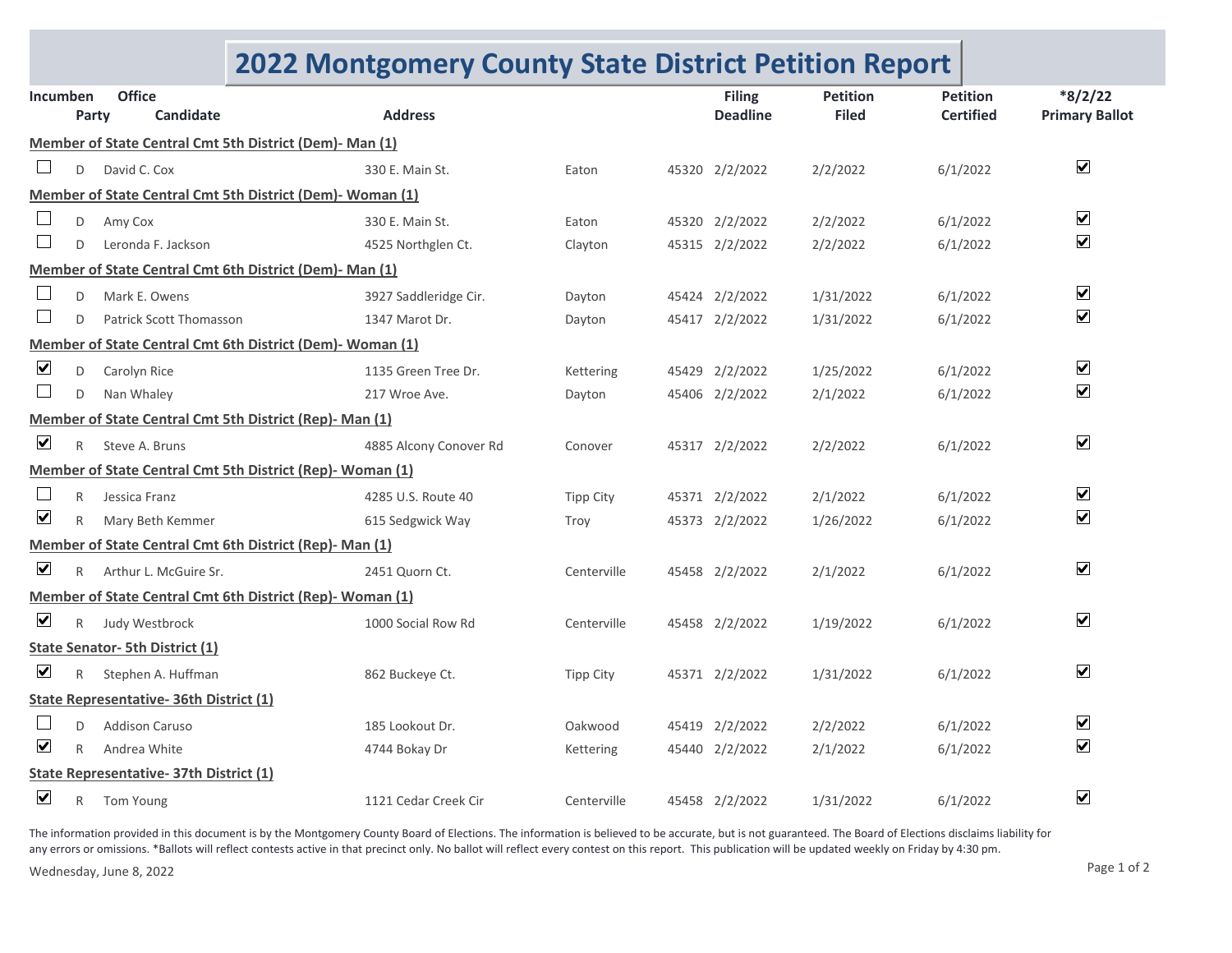## **2022 Montgomery County State District Petition Report**

| Incumben                                                |              | <b>Office</b>                                             |                        |                  |  | <b>Filing</b>   | <b>Petition</b> | <b>Petition</b>  | $*8/2/22$               |  |
|---------------------------------------------------------|--------------|-----------------------------------------------------------|------------------------|------------------|--|-----------------|-----------------|------------------|-------------------------|--|
|                                                         | Party        | Candidate                                                 | <b>Address</b>         |                  |  | <b>Deadline</b> | <b>Filed</b>    | <b>Certified</b> | <b>Primary Ballot</b>   |  |
| Member of State Central Cmt 5th District (Dem)- Man (1) |              |                                                           |                        |                  |  |                 |                 |                  |                         |  |
|                                                         | D            | David C. Cox                                              | 330 E. Main St.        | Eaton            |  | 45320 2/2/2022  | 2/2/2022        | 6/1/2022         | $\overline{\mathbf{v}}$ |  |
|                                                         |              | Member of State Central Cmt 5th District (Dem)- Woman (1) |                        |                  |  |                 |                 |                  |                         |  |
|                                                         | D            | Amy Cox                                                   | 330 E. Main St.        | Eaton            |  | 45320 2/2/2022  | 2/2/2022        | 6/1/2022         | $\blacktriangledown$    |  |
| ⊔                                                       | D            | Leronda F. Jackson                                        | 4525 Northglen Ct.     | Clayton          |  | 45315 2/2/2022  | 2/2/2022        | 6/1/2022         | $\blacktriangledown$    |  |
|                                                         |              | Member of State Central Cmt 6th District (Dem)- Man (1)   |                        |                  |  |                 |                 |                  |                         |  |
|                                                         | D            | Mark E. Owens                                             | 3927 Saddleridge Cir.  | Dayton           |  | 45424 2/2/2022  | 1/31/2022       | 6/1/2022         | $\blacktriangledown$    |  |
| Ш                                                       | D            | <b>Patrick Scott Thomasson</b>                            | 1347 Marot Dr.         | Dayton           |  | 45417 2/2/2022  | 1/31/2022       | 6/1/2022         | $\blacktriangledown$    |  |
|                                                         |              | Member of State Central Cmt 6th District (Dem)- Woman (1) |                        |                  |  |                 |                 |                  |                         |  |
| $\blacktriangledown$                                    | D            | Carolyn Rice                                              | 1135 Green Tree Dr.    | Kettering        |  | 45429 2/2/2022  | 1/25/2022       | 6/1/2022         | $\blacktriangledown$    |  |
| ⊔                                                       | D            | Nan Whaley                                                | 217 Wroe Ave.          | Dayton           |  | 45406 2/2/2022  | 2/1/2022        | 6/1/2022         | $\blacktriangledown$    |  |
| Member of State Central Cmt 5th District (Rep)- Man (1) |              |                                                           |                        |                  |  |                 |                 |                  |                         |  |
| $\blacktriangledown$                                    | $\mathsf{R}$ | Steve A. Bruns                                            | 4885 Alcony Conover Rd | Conover          |  | 45317 2/2/2022  | 2/2/2022        | 6/1/2022         | $\blacktriangledown$    |  |
|                                                         |              | Member of State Central Cmt 5th District (Rep)- Woman (1) |                        |                  |  |                 |                 |                  |                         |  |
|                                                         | R            | Jessica Franz                                             | 4285 U.S. Route 40     | <b>Tipp City</b> |  | 45371 2/2/2022  | 2/1/2022        | 6/1/2022         | $\blacktriangledown$    |  |
| $\blacktriangledown$                                    | $\mathsf{R}$ | Mary Beth Kemmer                                          | 615 Sedgwick Way       | Troy             |  | 45373 2/2/2022  | 1/26/2022       | 6/1/2022         | $\blacktriangledown$    |  |
|                                                         |              | Member of State Central Cmt 6th District (Rep)- Man (1)   |                        |                  |  |                 |                 |                  |                         |  |
| $\blacktriangledown$                                    | R            | Arthur L. McGuire Sr.                                     | 2451 Quorn Ct.         | Centerville      |  | 45458 2/2/2022  | 2/1/2022        | 6/1/2022         | $\blacktriangledown$    |  |
|                                                         |              | Member of State Central Cmt 6th District (Rep)- Woman (1) |                        |                  |  |                 |                 |                  |                         |  |
| $\blacktriangledown$                                    | $\mathsf{R}$ | Judy Westbrock                                            | 1000 Social Row Rd     | Centerville      |  | 45458 2/2/2022  | 1/19/2022       | 6/1/2022         | $\blacktriangledown$    |  |
|                                                         |              | <b>State Senator- 5th District (1)</b>                    |                        |                  |  |                 |                 |                  |                         |  |
| $\blacktriangledown$                                    | R            | Stephen A. Huffman                                        | 862 Buckeye Ct.        | <b>Tipp City</b> |  | 45371 2/2/2022  | 1/31/2022       | 6/1/2022         | $\blacktriangledown$    |  |
|                                                         |              | <b>State Representative- 36th District (1)</b>            |                        |                  |  |                 |                 |                  |                         |  |
|                                                         | D            | <b>Addison Caruso</b>                                     | 185 Lookout Dr.        | Oakwood          |  | 45419 2/2/2022  | 2/2/2022        | 6/1/2022         | $\blacktriangledown$    |  |
| $\boxed{\mathbf{v}}$                                    | R            | Andrea White                                              | 4744 Bokay Dr          | Kettering        |  | 45440 2/2/2022  | 2/1/2022        | 6/1/2022         | $\blacktriangledown$    |  |
| State Representative- 37th District (1)                 |              |                                                           |                        |                  |  |                 |                 |                  |                         |  |
| $\overline{\mathbf{v}}$                                 | R            | Tom Young                                                 | 1121 Cedar Creek Cir   | Centerville      |  | 45458 2/2/2022  | 1/31/2022       | 6/1/2022         | $\blacktriangledown$    |  |

The information provided in this document is by the Montgomery County Board of Elections. The information is believed to be accurate, but is not guaranteed. The Board of Elections disclaims liability for any errors or omissions. \*Ballots will reflect contests active in that precinct only. No ballot will reflect every contest on this report. This publication will be updated weekly on Friday by 4:30 pm.

Wednesday, June 8, 2022 Page 1 of 2